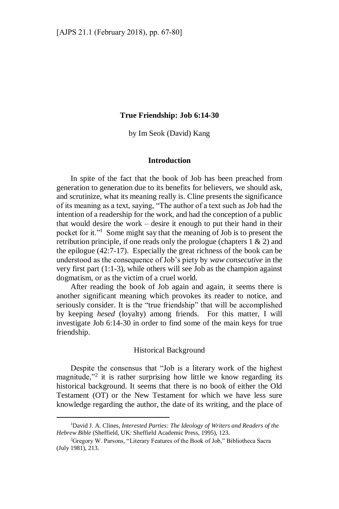## **True Friendship: Job 6:14-30**

by Im Seok (David) Kang

## **Introduction**

In spite of the fact that the book of Job has been preached from generation to generation due to its benefits for believers, we should ask, and scrutinize, what its meaning really is. Cline presents the significance of its meaning as a text, saying, "The author of a text such as Job had the intention of a readership for the work, and had the conception of a public that would desire the work – desire it enough to put their hand in their pocket for it."<sup>1</sup> Some might say that the meaning of Job is to present the retribution principle, if one reads only the prologue (chapters  $1 \& 2$ ) and the epilogue (42:7-17). Especially the great richness of the book can be understood as the consequence of Job's piety by *waw consecutive* in the very first part (1:1-3), while others will see Job as the champion against dogmatism, or as the victim of a cruel world.

After reading the book of Job again and again, it seems there is another significant meaning which provokes its reader to notice, and seriously consider. It is the "true friendship" that will be accomplished by keeping *hesed* (loyalty) among friends. For this matter, I will investigate Job 6:14-30 in order to find some of the main keys for true friendship.

## Historical Background

Despite the consensus that "Job is a literary work of the highest magnitude,"<sup>2</sup> it is rather surprising how little we know regarding its historical background. It seems that there is no book of either the Old Testament (OT) or the New Testament for which we have less sure knowledge regarding the author, the date of its writing, and the place of

<sup>1</sup>David J. A. Clines, *Interested Parties: The Ideology of Writers and Readers of the Hebrew Bible* (Sheffield, UK: Sheffield Academic Press, 1995), 123.

<sup>2</sup>Gregory W. Parsons, "Literary Features of the Book of Job," Bibliotheca Sacra (July 1981), 213.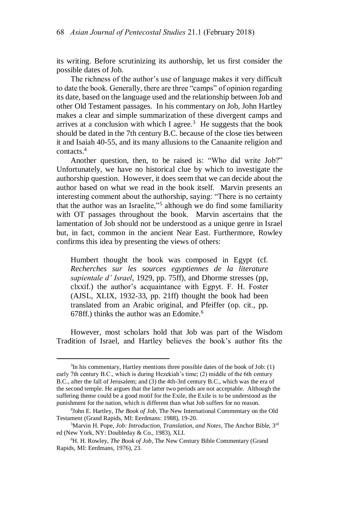its writing. Before scrutinizing its authorship, let us first consider the possible dates of Job.

The richness of the author's use of language makes it very difficult to date the book. Generally, there are three "camps" of opinion regarding its date, based on the language used and the relationship between Job and other Old Testament passages. In his commentary on Job, John Hartley makes a clear and simple summarization of these divergent camps and arrives at a conclusion with which I agree.<sup>3</sup> He suggests that the book should be dated in the 7th century B.C. because of the close ties between it and Isaiah 40-55, and its many allusions to the Canaanite religion and contacts.<sup>4</sup>

Another question, then, to be raised is: "Who did write Job?" Unfortunately, we have no historical clue by which to investigate the authorship question. However, it does seem that we can decide about the author based on what we read in the book itself. Marvin presents an interesting comment about the authorship, saying: "There is no certainty that the author was an Israelite,"<sup>5</sup> although we do find some familiarity with OT passages throughout the book. Marvin ascertains that the lamentation of Job should not be understood as a unique genre in Israel but, in fact, common in the ancient Near East. Furthermore, Rowley confirms this idea by presenting the views of others:

Humbert thought the book was composed in Egypt (cf. *Recherches sur les sources egyptiennes de la literature sapientale d' Israel*, 1929, pp. 75ff), and Dhorme stresses (pp, clxxif.) the author's acquaintance with Egpyt. F. H. Foster (AJSL, XLIX, 1932-33, pp. 21ff) thought the book had been translated from an Arabic original, and Pfeiffer (op. cit., pp.  $678$ ff.) thinks the author was an Edomite.<sup>6</sup>

However, most scholars hold that Job was part of the Wisdom Tradition of Israel, and Hartley believes the book's author fits the

<sup>3</sup> In his commentary, Hartley mentions three possible dates of the book of Job: (1) early 7th century B.C., which is during Hezekiah's time; (2) middle of the 6th century B.C., after the fall of Jerusalem; and (3) the 4th-3rd century B.C., which was the era of the second temple. He argues that the latter two periods are not acceptable. Although the suffering theme could be a good motif for the Exile, the Exile is to be understood as the punishment for the nation, which is different than what Job suffers for no reason.

<sup>4</sup> John E. Hartley, *The Book of Job*, The New International Commentary on the Old Testament (Grand Rapids, MI: Eerdmans: 1988), 19-20.

<sup>5</sup>Marvin H. Pope*, Job: Introduction, Translation, and Notes,* The Anchor Bible, 3rd ed (New York, NY: Doubleday & Co., 1983), XLI.

<sup>6</sup>H. H. Rowley, *The Book of Job*, The New Century Bible Commentary (Grand Rapids, MI: Eerdmans, 1976), 23.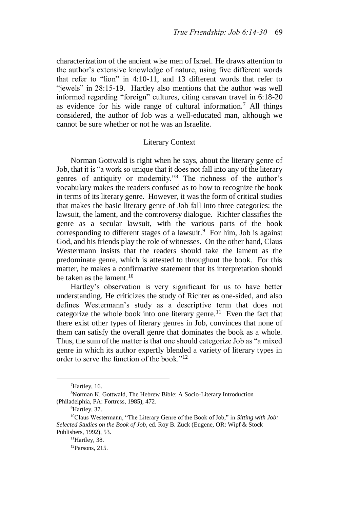characterization of the ancient wise men of Israel. He draws attention to the author's extensive knowledge of nature, using five different words that refer to "lion" in 4:10-11, and 13 different words that refer to "jewels" in 28:15-19. Hartley also mentions that the author was well informed regarding "foreign" cultures, citing caravan travel in 6:18-20 as evidence for his wide range of cultural information.<sup>7</sup> All things considered, the author of Job was a well-educated man, although we cannot be sure whether or not he was an Israelite.

### Literary Context

Norman Gottwald is right when he says, about the literary genre of Job, that it is "a work so unique that it does not fall into any of the literary genres of antiquity or modernity."<sup>8</sup> The richness of the author's vocabulary makes the readers confused as to how to recognize the book in terms of its literary genre. However, it was the form of critical studies that makes the basic literary genre of Job fall into three categories: the lawsuit, the lament, and the controversy dialogue. Richter classifies the genre as a secular lawsuit, with the various parts of the book corresponding to different stages of a lawsuit.<sup>9</sup> For him, Job is against God, and his friends play the role of witnesses. On the other hand, Claus Westermann insists that the readers should take the lament as the predominate genre, which is attested to throughout the book. For this matter, he makes a confirmative statement that its interpretation should be taken as the lament.<sup>10</sup>

Hartley's observation is very significant for us to have better understanding. He criticizes the study of Richter as one-sided, and also defines Westermann's study as a descriptive term that does not categorize the whole book into one literary genre.<sup>11</sup> Even the fact that there exist other types of literary genres in Job, convinces that none of them can satisfy the overall genre that dominates the book as a whole. Thus, the sum of the matter is that one should categorize Job as "a mixed genre in which its author expertly blended a variety of literary types in order to serve the function of the book."<sup>12</sup>

 $<sup>7</sup>$  Hartley, 16.</sup>

<sup>8</sup>Norman K. Gottwald, The Hebrew Bible: A Socio-Literary Introduction (Philadelphia, PA: Fortress, 1985), 472.

<sup>&</sup>lt;sup>9</sup>Hartley, 37.

<sup>10</sup>Claus Westermann, "The Literary Genre of the Book of Job," in *Sitting with Job: Selected Studies on the Book of Job*, ed. Roy B. Zuck (Eugene, OR: Wipf & Stock Publishers, 1992), 53.

<sup>&</sup>lt;sup>11</sup>Hartley, 38.

<sup>12</sup>Parsons, 215.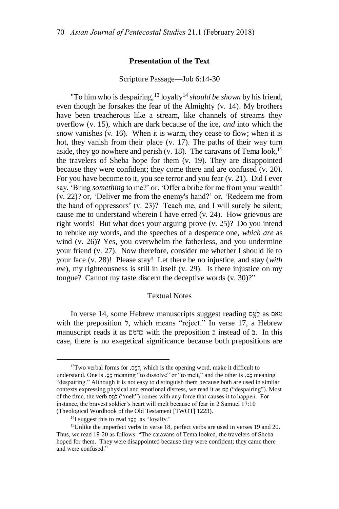## **Presentation of the Text**

### Scripture Passage—Job 6:14-30

"To him who is despairing,  $^{13}$  loyalty<sup>14</sup> *should be shown* by his friend, even though he forsakes the fear of the Almighty (v. 14). My brothers have been treacherous like a stream, like channels of streams they overflow (v. 15), which are dark because of the ice, *and* into which the snow vanishes (v. 16). When it is warm, they cease to flow; when it is hot, they vanish from their place (v. 17). The paths of their way turn aside, they go nowhere and perish (v. 18). The caravans of Tema look,  $15$ the travelers of Sheba hope for them (v. 19). They are disappointed because they were confident; they come there and are confused (v. 20). For you have become to it, you see terror and you fear (v. 21). Did I ever say, 'Bring *something* to me?' or, 'Offer a bribe for me from your wealth' (v. 22)? or, 'Deliver me from the enemy's hand?' or, 'Redeem me from the hand of oppressors' (v. 23)? Teach me, and I will surely be silent; cause me to understand wherein I have erred (v. 24). How grievous are right words! But what does your arguing prove (v. 25)? Do you intend to rebuke *my* words, and the speeches of a desperate one, *which are* as wind (v. 26)? Yes, you overwhelm the fatherless, and you undermine your friend (v. 27). Now therefore, consider me whether I should lie to your face (v. 28)! Please stay! Let there be no injustice, and stay (*with me*), my righteousness is still in itself (v. 29). Is there injustice on my tongue? Cannot my taste discern the deceptive words (v. 30)?"

## Textual Notes

In verse 14, some Hebrew manuscripts suggest reading סָּ֣ מַל as מאס with the preposition *τ*, which means "reject." In verse 17, a Hebrew manuscript reads it as כחמם with the preposition כ instead of ב. In this case, there is no exegetical significance because both prepositions are

<sup>&</sup>lt;sup>13</sup>Two verbal forms for  $\frac{1}{2}$ , which is the opening word, make it difficult to understand. One is <sub>י</sub>ָס, meaning "to dissolve" or "to melt," and the other is <sub>י</sub>ָס, meaning "despairing." Although it is not easy to distinguish them because both are used in similar contexts expressing physical and emotional distress, we read it as  $\circ$  ("despairing"). Most of the time, the verb כֹמֵס ("melt") comes with any force that causes it to happen. For instance, the bravest soldier's heart will melt because of fear in 2 Samuel 17:10 (Theological Wordbook of the Old Testament [TWOT] 1223).

<sup>&</sup>lt;sup>14</sup>I suggest this to read  $\overline{p}$  as "loyalty."

<sup>&</sup>lt;sup>15</sup>Unlike the imperfect verbs in verse 18, perfect verbs are used in verses 19 and 20. Thus, we read 19-20 as follows: "The caravans of Tema looked, the travelers of Sheba hoped for them. They were disappointed because they were confident; they came there and were confused."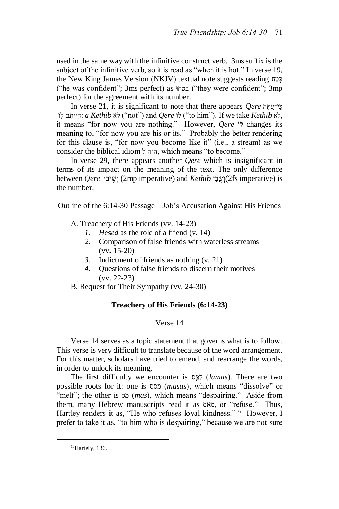used in the same way with the infinitive construct verb. 3ms suffix is the subject of the infinitive verb, so it is read as "when it is hot." In verse 19, the New King James Version (NKJV) textual note suggests reading ח ("he was confident"; 3ms perfect) as וּבטח") they were confident"; 3mp perfect) for the agreement with its number.

In verse 21, it is significant to note that there appears *Qere* ה **z** לֹא *Kethib* לֹא ("not") and *Qere* לֹוֹ ("to him"). If we take Kethib a :הֱיִיתֶם לְוֹ it means "for now you are nothing." However, *Qere* וֹל changes its meaning to, "for now you are his or its." Probably the better rendering for this clause is, "for now you become like it" (i.e., a stream) as we consider the biblical idiom ל היה, which means "to become."

In verse 29, there appears another *Qere* which is insignificant in terms of its impact on the meaning of the text. The only difference between *Qere* וֹשֵׁוּבוּ (2mp imperative) and *Kethib* וֹשָׁבִי (2fs imperative) is the number.

Outline of the 6:14-30 Passage—Job's Accusation Against His Friends

A. Treachery of His Friends (vv. 14-23)

- *1. Hesed* as the role of a friend (v. 14)
- *2.* Comparison of false friends with waterless streams (vv. 15-20)
- *3.* Indictment of friends as nothing (v. 21)
- *4.* Questions of false friends to discern their motives (vv. 22-23)

B. Request for Their Sympathy (vv. 24-30)

# **Treachery of His Friends (6:14-23)**

# Verse 14

Verse 14 serves as a topic statement that governs what is to follow. This verse is very difficult to translate because of the word arrangement. For this matter, scholars have tried to emend, and rearrange the words, in order to unlock its meaning.

The first difficulty we encounter is סָּ֣ מַל) *lamas*). There are two possible roots for it: one is ספס (masas), which means "dissolve" or "melt"; the other is <u>ה</u> (*mas*), which means "despairing." Aside from them, many Hebrew manuscripts read it as מאס, or "refuse." Thus, Hartley renders it as, "He who refuses loyal kindness."<sup>16</sup> However, I prefer to take it as, "to him who is despairing," because we are not sure

 $16$ Hartely, 136.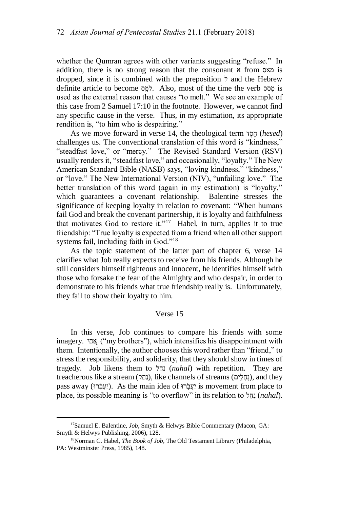whether the Qumran agrees with other variants suggesting "refuse." In addition, there is no strong reason that the consonant א from מאס is dropped, since it is combined with the preposition ל and the Hebrew definite article to become למס, Mlso, most of the time the verb ob is used as the external reason that causes "to melt." We see an example of this case from 2 Samuel 17:10 in the footnote. However, we cannot find any specific cause in the verse. Thus, in my estimation, its appropriate rendition is, "to him who is despairing."

As we move forward in verse 14, the theological term ד ֶסֶח) *hesed*) challenges us. The conventional translation of this word is "kindness," "steadfast love," or "mercy." The Revised Standard Version (RSV) usually renders it, "steadfast love," and occasionally, "loyalty." The New American Standard Bible (NASB) says, "loving kindness," "kindness," or "love." The New International Version (NIV), "unfailing love." The better translation of this word (again in my estimation) is "loyalty," which guarantees a covenant relationship. Balentine stresses the significance of keeping loyalty in relation to covenant: "When humans fail God and break the covenant partnership, it is loyalty and faithfulness that motivates God to restore it."<sup>17</sup> Habel, in turn, applies it to true friendship: "True loyalty is expected from a friend when all other support systems fail, including faith in God."<sup>18</sup>

As the topic statement of the latter part of chapter 6, verse 14 clarifies what Job really expects to receive from his friends. Although he still considers himself righteous and innocent, he identifies himself with those who forsake the fear of the Almighty and who despair, in order to demonstrate to his friends what true friendship really is. Unfortunately, they fail to show their loyalty to him.

## Verse 15

In this verse, Job continues to compare his friends with some imagery. אֲחֵל ("my brothers"), which intensifies his disappointment with them. Intentionally, the author chooses this word rather than "friend," to stress the responsibility, and solidarity, that they should show in times of tragedy. Job likens them to נְחַל (nahal) with repetition. They are treacherous like a stream (נחלים), like channels of streams (נחלים), and they pass away (וַעֲבָרוּ). As the main idea of יָעֲבֹרוּ is movement from place to place, its possible meaning is "to overflow" in its relation to <sup>f</sup>  $nahal$ ).

<sup>&</sup>lt;sup>17</sup>Samuel E. Balentine, *Job*, Smyth & Helwys Bible Commentary (Macon, GA: Smyth & Helwys Publishing, 2006), 128.

<sup>18</sup>Norman C. Habel, *The Book of Job*, The Old Testament Library (Philadelphia, PA: Westminster Press, 1985), 148.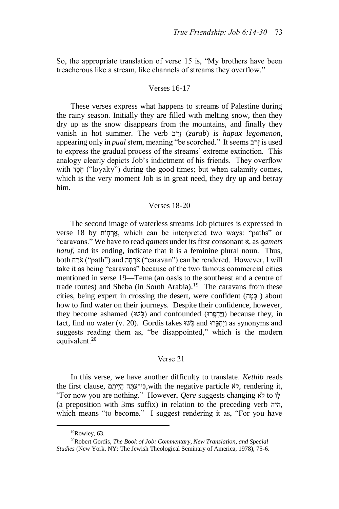So, the appropriate translation of verse 15 is, "My brothers have been treacherous like a stream, like channels of streams they overflow."

### Verses 16-17

These verses express what happens to streams of Palestine during the rainy season. Initially they are filled with melting snow, then they dry up as the snow disappears from the mountains, and finally they vanish in hot summer. The verb  $zarab$  *j zarab*) is *hapax legomenon*, appearing only in *pual* stem, meaning "be scorched." It seems בְּרֹב is used to express the gradual process of the streams' extreme extinction. This analogy clearly depicts Job's indictment of his friends. They overflow with הֶסֶד ("loyalty") during the good times; but when calamity comes, which is the very moment Job is in great need, they dry up and betray him.

#### Verses 18-20

The second image of waterless streams Job pictures is expressed in verse 18 by אֲרְחֶוֹת, which can be interpreted two ways: "paths" or "caravans." We have to read *qamets* under its first consonant א, as *qamets hatuf*, and its ending, indicate that it is a feminine plural noun. Thus, both אֹרְחָה ("path") and הְרָחָה ("caravan") can be rendered. However, I will take it as being "caravans" because of the two famous commercial cities mentioned in verse 19—Tema (an oasis to the southeast and a centre of trade routes) and Sheba (in South Arabia).<sup>19</sup> The caravans from these cities, being expert in crossing the desert, were confident ( $\epsilon$  =  $\epsilon$ ) about how to find water on their journeys. Despite their confidence, however, they become ashamed (בְּיָחְפָּרוּ) and confounded (בְּיָחְפָּרוּ) because they, in fact, find no water (v. 20). Gordis takes וֵיחֶפֵּרוּ and וַיֵּחְפֵּרוּ as synonyms and suggests reading them as, "be disappointed," which is the modern equivalent.<sup>20</sup>

#### Verse 21

In this verse, we have another difficulty to translate. *Kethib* reads the first clause, הֱיִיתֶם ,with the negative particle  $x$ לֹא, rendering it, "For now you are nothing." However, *Qere* suggests changing א
to וֹל (a preposition with 3ms suffix) in relation to the preceding verb היה, which means "to become." I suggest rendering it as, "For you have

 $19$ Rowley, 63.

<sup>20</sup>Robert Gordis, *The Book of Job: Commentary, New Translation, and Special Studies* (New York, NY: The Jewish Theological Seminary of America, 1978), 75-6.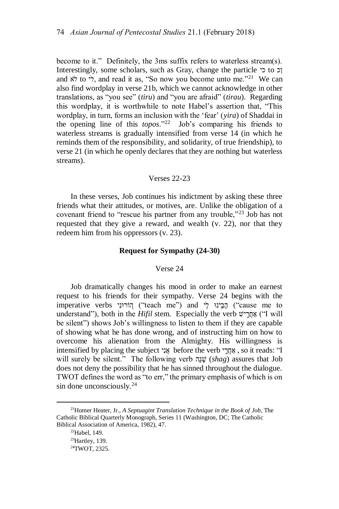become to it." Definitely, the 3ms suffix refers to waterless stream(s). Interestingly, some scholars, such as Gray, change the particle וכ and  $\dot{x}$  to  $\dot{y}$ , and read it as, "So now you become unto me."<sup>21</sup> We can also find wordplay in verse 21b, which we cannot acknowledge in other translations, as "you see" (*tiru*) and "you are afraid" (*tirau*). Regarding this wordplay, it is worthwhile to note Habel's assertion that, "This wordplay, in turn, forms an inclusion with the 'fear' (*yira*) of Shaddai in the opening line of this *topos*."<sup>22</sup> Job's comparing his friends to waterless streams is gradually intensified from verse 14 (in which he reminds them of the responsibility, and solidarity, of true friendship), to verse 21 (in which he openly declares that they are nothing but waterless streams).

### Verses 22-23

In these verses, Job continues his indictment by asking these three friends what their attitudes, or motives, are. Unlike the obligation of a covenant friend to "rescue his partner from any trouble,"<sup>23</sup> Job has not requested that they give a reward, and wealth (v. 22), nor that they redeem him from his oppressors (v. 23).

## **Request for Sympathy (24-30)**

## Verse 24

Job dramatically changes his mood in order to make an earnest request to his friends for their sympathy. Verse 24 begins with the imperative verbs יהֲבִינוּ ("teach me") and הַבֵּינוּ ("cause me to understand"), both in the *Hifil* stem. Especially the verb אֲחֲרָישׁ ("I will be silent") shows Job's willingness to listen to them if they are capable of showing what he has done wrong, and of instructing him on how to overcome his alienation from the Almighty. His willingness is intensified by placing the subject אֲנָי before the verb י הֵהֲרֵי, so it reads: "I will surely be silent." The following verb *שְׁגָּה (shag)* assures that Job does not deny the possibility that he has sinned throughout the dialogue. TWOT defines the word as "to err," the primary emphasis of which is on  $sin$  done unconsciously.<sup>24</sup>

<sup>21</sup>Homer Heater, Jr., *A Septuagint Translation Technique in the Book of Job*, The Catholic Biblical Quarterly Monograph, Series 11 (Washington, DC; The Catholic Biblical Association of America, 1982), 47.

<sup>22</sup>Habel, 149.

 $23$ Hartley, 139.

<sup>24</sup>TWOT, 2325.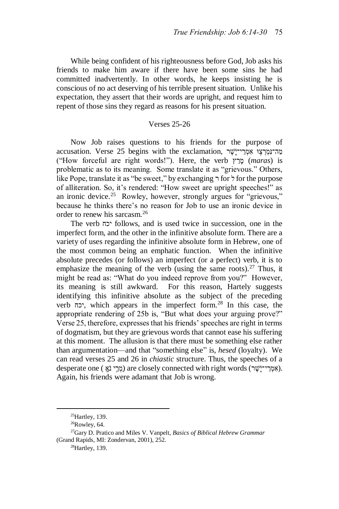While being confident of his righteousness before God, Job asks his friends to make him aware if there have been some sins he had committed inadvertently. In other words, he keeps insisting he is conscious of no act deserving of his terrible present situation. Unlike his expectation, they assert that their words are upright, and request him to repent of those sins they regard as reasons for his present situation.

## Verses 25-26

Now Job raises questions to his friends for the purpose of accusation. Verse 25 begins with the exclamation, מְה־נַמְרָצוּ אָמְרֵי־יָשֶׁר ("How forceful are right words!"). Here, the verb *מ*ַרַץ (maras) is problematic as to its meaning. Some translate it as "grievous." Others, like Pope, translate it as "be sweet," by exchanging ר for ל for the purpose of alliteration. So, it's rendered: "How sweet are upright speeches!" as an ironic device.<sup>25</sup> Rowley, however, strongly argues for "grievous," because he thinks there's no reason for Job to use an ironic device in order to renew his sarcasm.<sup>26</sup>

The verb יכח follows, and is used twice in succession, one in the imperfect form, and the other in the infinitive absolute form. There are a variety of uses regarding the infinitive absolute form in Hebrew, one of the most common being an emphatic function. When the infinitive absolute precedes (or follows) an imperfect (or a perfect) verb, it is to emphasize the meaning of the verb (using the same roots).<sup>27</sup> Thus, it might be read as: "What do you indeed reprove from you?" However, its meaning is still awkward. For this reason, Hartely suggests identifying this infinitive absolute as the subject of the preceding verb יכח, which appears in the imperfect form.<sup>28</sup> In this case, the appropriate rendering of 25b is, "But what does your arguing prove?" Verse 25, therefore, expresses that his friends' speeches are right in terms of dogmatism, but they are grievous words that cannot ease his suffering at this moment. The allusion is that there must be something else rather than argumentation—and that "something else" is, *hesed* (loyalty). We can read verses 25 and 26 in *chiastic* structure. Thus, the speeches of a desperate one (מְרֵי נֹאֵ) are closely connected with right words (אִמְרֵי־יָשָׁר). Again, his friends were adamant that Job is wrong.

 $25$ Hartley, 139.

 $26$ Rowley, 64.

<sup>27</sup>Gary D. Pratico and Miles V. Vanpelt, *Basics of Biblical Hebrew Grammar* (Grand Rapids, MI: Zondervan, 2001), 252.

<sup>28</sup>Hartley, 139.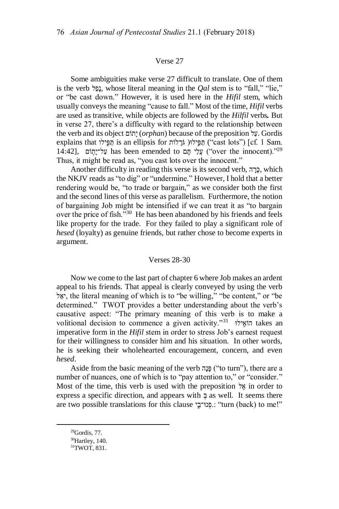### Verse 27

Some ambiguities make verse 27 difficult to translate. One of them is the verb נכל, whose literal meaning in the *Oal* stem is to "fall," "lie," or "be cast down." However, it is used here in the *Hifil* stem, which usually conveys the meaning "cause to fall." Most of the time, *Hifil* verbs are used as transitive, while objects are followed by the *Hilfil* verbs*.* But in verse 27, there's a difficulty with regard to the relationship between the verb and its object וםֹת י) *orphan*) because of the preposition לַע. Gordis explains that תּפילו is an ellipsis for תִּ הַפּילוּ ("cast lots") [cf. 1 Sam. 14:42], עֲלֵי תָּם has been emended to עֲלֹיוָתוֹם ("over the innocent)."29 Thus, it might be read as, "you cast lots over the innocent."

Another difficulty in reading this verse is its second verb, כְּרָה, which the NKJV reads as "to dig" or "undermine." However, I hold that a better rendering would be, "to trade or bargain," as we consider both the first and the second lines of this verse as parallelism. Furthermore, the notion of bargaining Job might be intensified if we can treat it as "to bargain over the price of fish."<sup>30</sup> He has been abandoned by his friends and feels like property for the trade. For they failed to play a significant role of *hesed* (loyalty) as genuine friends, but rather chose to become experts in argument.

### Verses 28-30

Now we come to the last part of chapter 6 where Job makes an ardent appeal to his friends. That appeal is clearly conveyed by using the verb ל ַיא, the literal meaning of which is to "be willing," "be content," or "be determined." TWOT provides a better understanding about the verb's causative aspect: "The primary meaning of this verb is to make a volitional decision to commence a given activity."<sup>31</sup> הוֹאֶילוּ takes an imperative form in the *Hifil* stem in order to stress Job's earnest request for their willingness to consider him and his situation. In other words, he is seeking their wholehearted encouragement, concern, and even *hesed*.

Aside from the basic meaning of the verb פָּנָה ("to turn"), there are a number of nuances, one of which is to "pay attention to," or "consider." Most of the time, this verb is used with the preposition ל ֶא in order to express a specific direction, and appears with  $\exists$  as well. It seems there are two possible translations for this clause י:פּנוּ־בי. "turn (back) to me!"

 $29$ Gordis, 77.

<sup>30</sup>Hartley, 140.

<sup>31</sup>TWOT, 831.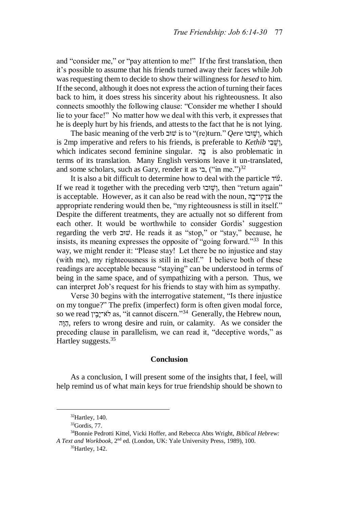and "consider me," or "pay attention to me!" If the first translation, then it's possible to assume that his friends turned away their faces while Job was requesting them to decide to show their willingness for *hesed* to him. If the second, although it does not express the action of turning their faces back to him, it does stress his sincerity about his righteousness. It also connects smoothly the following clause: "Consider me whether I should lie to your face!" No matter how we deal with this verb, it expresses that he is deeply hurt by his friends, and attests to the fact that he is not lying.

The basic meaning of the verb וֹשוּב*ּ is* to "(re)turn." *Oere* ו*ּ*שׁוּבּוֹ, which is 2mp imperative and refers to his friends, is preferable to *Kethib* ישבי, which indicates second feminine singular. הָ is also problematic in terms of its translation. Many English versions leave it un-translated, and some scholars, such as Gary, render it as  $\sim$ , ("in me.")<sup>32</sup>

It is also a bit difficult to determine how to deal with the particle  $\vec{v}$ . If we read it together with the preceding verb וֹשוֹבּוּ, then "return again" is acceptable. However, as it can also be read with the noun, אֲדָקִי־בָה appropriate rendering would then be, "my righteousness is still in itself." Despite the different treatments, they are actually not so different from each other. It would be worthwhile to consider Gordis' suggestion regarding the verb ובּש. He reads it as "stop," or "stay," because, he insists, its meaning expresses the opposite of "going forward."<sup>33</sup> In this way, we might render it: "Please stay! Let there be no injustice and stay (with me), my righteousness is still in itself." I believe both of these readings are acceptable because "staying" can be understood in terms of being in the same space, and of sympathizing with a person. Thus, we can interpret Job's request for his friends to stay with him as sympathy.

Verse 30 begins with the interrogative statement, "Is there injustice on my tongue?" The prefix (imperfect) form is often given modal force, so we read יְבִין as, "it cannot discern."<sup>34</sup> Generally, the Hebrew noun, ה וַּה, refers to wrong desire and ruin, or calamity. As we consider the preceding clause in parallelism, we can read it, "deceptive words," as Hartley suggests.<sup>35</sup>

# **Conclusion**

As a conclusion, I will present some of the insights that, I feel, will help remind us of what main keys for true friendship should be shown to

 $32$ Hartley, 140.

 $33$ Gordis, 77.

<sup>34</sup>Bonnie Pedrotti Kittel, Vicki Hoffer, and Rebecca Abts Wright, *Biblical Hebrew: A Text and Workbook*, 2nd ed. (London, UK: Yale University Press, 1989), 100.

<sup>35</sup>Hartley, 142.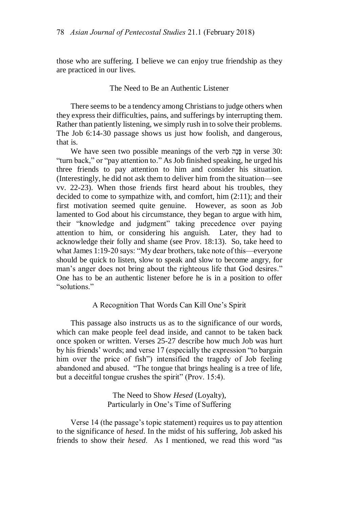those who are suffering. I believe we can enjoy true friendship as they are practiced in our lives.

# The Need to Be an Authentic Listener

There seems to be a tendency among Christians to judge others when they express their difficulties, pains, and sufferings by interrupting them. Rather than patiently listening, we simply rush in to solve their problems. The Job 6:14-30 passage shows us just how foolish, and dangerous, that is.

We have seen two possible meanings of the verb פּנַה in verse 30: "turn back," or "pay attention to." As Job finished speaking, he urged his three friends to pay attention to him and consider his situation. (Interestingly, he did not ask them to deliver him from the situation—see vv. 22-23). When those friends first heard about his troubles, they decided to come to sympathize with, and comfort, him (2:11); and their first motivation seemed quite genuine. However, as soon as Job lamented to God about his circumstance, they began to argue with him, their "knowledge and judgment" taking precedence over paying attention to him, or considering his anguish. Later, they had to acknowledge their folly and shame (see Prov. 18:13). So, take heed to what James 1:19-20 says: "My dear brothers, take note of this—everyone should be quick to listen, slow to speak and slow to become angry, for man's anger does not bring about the righteous life that God desires." One has to be an authentic listener before he is in a position to offer "solutions."

## A Recognition That Words Can Kill One's Spirit

This passage also instructs us as to the significance of our words, which can make people feel dead inside, and cannot to be taken back once spoken or written. Verses 25-27 describe how much Job was hurt by his friends' words; and verse 17 (especially the expression "to bargain him over the price of fish") intensified the tragedy of Job feeling abandoned and abused. "The tongue that brings healing is a tree of life, but a deceitful tongue crushes the spirit" (Prov. 15:4).

> The Need to Show *Hesed* (Loyalty), Particularly in One's Time of Suffering

Verse 14 (the passage's topic statement) requires us to pay attention to the significance of *hesed*. In the midst of his suffering, Job asked his friends to show their *hesed*. As I mentioned, we read this word "as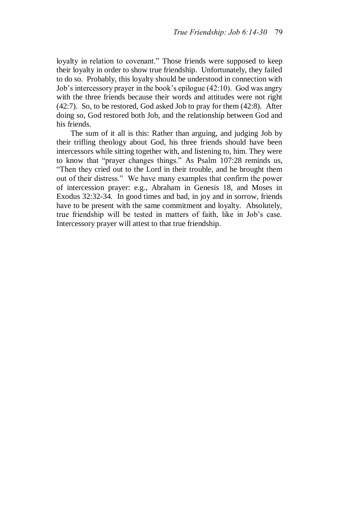loyalty in relation to covenant." Those friends were supposed to keep their loyalty in order to show true friendship. Unfortunately, they failed to do so. Probably, this loyalty should be understood in connection with Job's intercessory prayer in the book's epilogue (42:10). God was angry with the three friends because their words and attitudes were not right (42:7). So, to be restored, God asked Job to pray for them (42:8). After doing so, God restored both Job, and the relationship between God and his friends.

The sum of it all is this: Rather than arguing, and judging Job by their trifling theology about God, his three friends should have been intercessors while sitting together with, and listening to, him. They were to know that "prayer changes things." As Psalm 107:28 reminds us, "Then they cried out to the Lord in their trouble, and he brought them out of their distress." We have many examples that confirm the power of intercession prayer: e.g., Abraham in Genesis 18, and Moses in Exodus 32:32-34. In good times and bad, in joy and in sorrow, friends have to be present with the same commitment and loyalty. Absolutely, true friendship will be tested in matters of faith, like in Job's case. Intercessory prayer will attest to that true friendship.